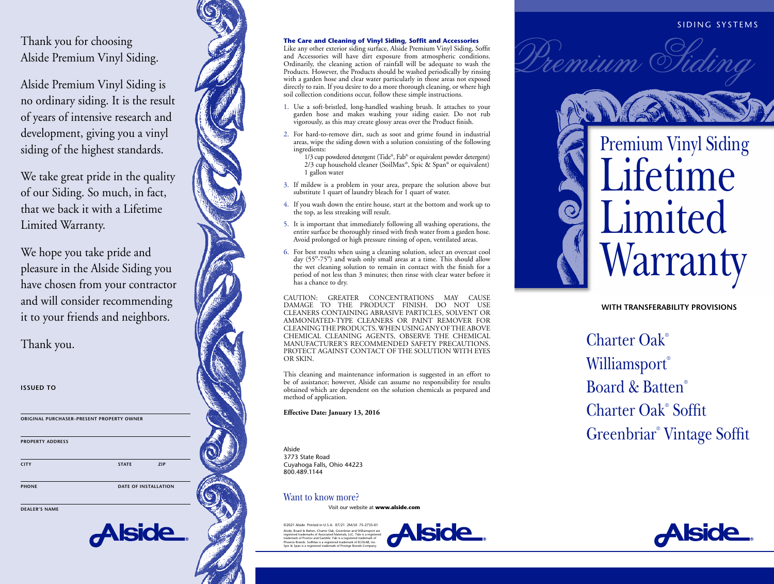# Thank you for choosing Alside Premium Vinyl Siding.

Alside Premium Vinyl Siding is no ordinary siding. It is the result of years of intensive research and development, giving you a vinyl siding of the highest standards.

We take great pride in the quality of our Siding. So much, in fact, that we back it with a Lifetime Limited Warranty.

We hope you take pride and pleasure in the Alside Siding you have chosen from your contractor and will consider recommending it to your friends and neighbors.

Thank you.

**ISSUED TO**

**ORIGINAL PURCHASER–PRESENT PROPERTY OWNER PROPERTY ADDRESS CITY STATE ZIP**

<u>Alside</u>

**PHONE** DATE OF INSTALLATION

**DEALER'S NAME**

### **The Care and Cleaning of Vinyl Siding, Soffit and Accessories**

Like any other exterior siding surface, Alside Premium Vinyl Siding, Soffit and Accessories will have dirt exposure from atmospheric conditions. Ordinarily, the cleaning action of rainfall will be adequate to wash the Products. However, the Products should be washed periodically by rinsing with a garden hose and clear water particularly in those areas not exposed directly to rain. If you desire to do a more thorough cleaning, or where high soil collection conditions occur, follow these simple instructions.

- 1. Use a soft-bristled, long-handled washing brush. It attaches to your garden hose and makes washing your siding easier. Do not rub vigorously, as this may create glossy areas over the Product finish.
- 2. For hard-to-remove dirt, such as soot and grime found in industrial areas, wipe the siding down with a solution consisting of the following ingredients:
- 1/3 cup powdered detergent (Tide ®, Fab ® or equivalent powder detergent) 2/3 cup household cleaner (SoilMax ®, Spic & Span ® or equivalent) 1 gallon water
- 3. If mildew is a problem in your area, prepare the solution above but substitute 1 quart of laundry bleach for 1 quart of water.
- 4. If you wash down the entire house, start at the bottom and work up to the top, as less streaking will result.
- 5. It is important that immediately following all washing operations, the entire surface be thoroughly rinsed with fresh water from a garden hose. Avoid prolonged or high pressure rinsing of open, ventilated areas.
- 6. For best results when using a cleaning solution, select an overcast cool day (55<sup>o</sup>-75<sup>o</sup>) and wash only small areas at a time. This should allow the wet cleaning solution to remain in contact with the finish for a period of not less than 3 minutes; then rinse with clear water before it has a chance to dry.

CAUTION: GREATER CONCENTRATIONS MAY CAUSE DAMAGE TO THE PRODUCT FINISH. DO NOT USE CLEANERS CONTAINING ABRASIVE PARTICLES, SOLVENT OR AMMONIATED-TYPE CLEANERS OR PAINT REMOVER FOR CLEANING THE PRODUCTS. WHEN USING ANY OF THE ABOVE CHEMICAL CLEANING AGENTS, OBSERVE THE CHEMICAL MANUFACTURER'S RECOMMENDED SAFETY PRECAUTIONS. PROTECT AGAINST CONTACT OF THE SOLUTION WITH EYES OR SKIN.

This cleaning and maintenance information is suggested in an effort to be of assistance; however, Alside can assume no responsibility for results obtained which are dependent on the solution chemicals as prepared and method of application.

**Effective Date: January 13, 2016**

Alside 3773 State Road Cuyahoga Falls, Ohio 44223 800.489.1144

## Want to know more?

Visit our website at **www.alside.com** 

©2021 Alside Printed in U.S.A. 07/21 2M/UI 75-2735-01 Alside, Board & Batten, Charter Oak, Greenbriar and Williamsport and<br>registered trademarks of Associated Materials, LLC. Tide is a registe registered trademarks of Associated Materials, LLC. Tide is a registered trademark of Proctor and Gamble. Fab is a registered trademark of Phoenix Brands. SoilMax is a registered trademark of ECOLAB, Inc. Spic & Span is a registered trademark of Prestige Brands Company.





mium (

# **WITH TRANSFERABILITY PROVISIONS**

Charter Oak ® Williamsport ® Board & Batten ® Charter Oak ® Soffit Greenbriar ® Vintage Soffit